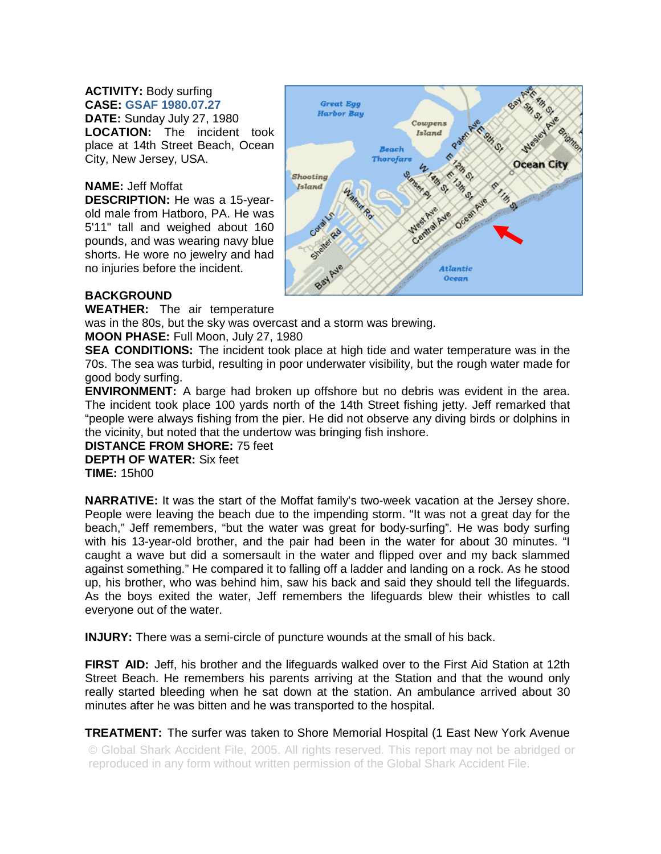## **ACTIVITY:** Body surfing **CASE: GSAF 1980.07.27 DATE:** Sunday July 27, 1980 **LOCATION:** The incident took place at 14th Street Beach, Ocean City, New Jersey, USA.

## **NAME:** Jeff Moffat

**DESCRIPTION:** He was a 15-yearold male from Hatboro, PA. He was 5'11" tall and weighed about 160 pounds, and was wearing navy blue shorts. He wore no jewelry and had no injuries before the incident.



## **BACKGROUND**

**WEATHER:** The air temperature

was in the 80s, but the sky was overcast and a storm was brewing.

**MOON PHASE:** Full Moon, July 27, 1980

**SEA CONDITIONS:** The incident took place at high tide and water temperature was in the 70s. The sea was turbid, resulting in poor underwater visibility, but the rough water made for good body surfing.

**ENVIRONMENT:** A barge had broken up offshore but no debris was evident in the area. The incident took place 100 yards north of the 14th Street fishing jetty. Jeff remarked that "people were always fishing from the pier. He did not observe any diving birds or dolphins in the vicinity, but noted that the undertow was bringing fish inshore.

**DISTANCE FROM SHORE:** 75 feet **DEPTH OF WATER:** Six feet **TIME:** 15h00

**NARRATIVE:** It was the start of the Moffat family's two-week vacation at the Jersey shore. People were leaving the beach due to the impending storm. "It was not a great day for the beach," Jeff remembers, "but the water was great for body-surfing". He was body surfing with his 13-year-old brother, and the pair had been in the water for about 30 minutes. "I caught a wave but did a somersault in the water and flipped over and my back slammed against something." He compared it to falling off a ladder and landing on a rock. As he stood up, his brother, who was behind him, saw his back and said they should tell the lifeguards. As the boys exited the water, Jeff remembers the lifeguards blew their whistles to call everyone out of the water.

**INJURY:** There was a semi-circle of puncture wounds at the small of his back.

**FIRST AID:** Jeff, his brother and the lifeguards walked over to the First Aid Station at 12th Street Beach. He remembers his parents arriving at the Station and that the wound only really started bleeding when he sat down at the station. An ambulance arrived about 30 minutes after he was bitten and he was transported to the hospital.

**TREATMENT:** The surfer was taken to Shore Memorial Hospital (1 East New York Avenue

© Global Shark Accident File, 2005. All rights reserved. This report may not be abridged or reproduced in any form without written permission of the Global Shark Accident File.